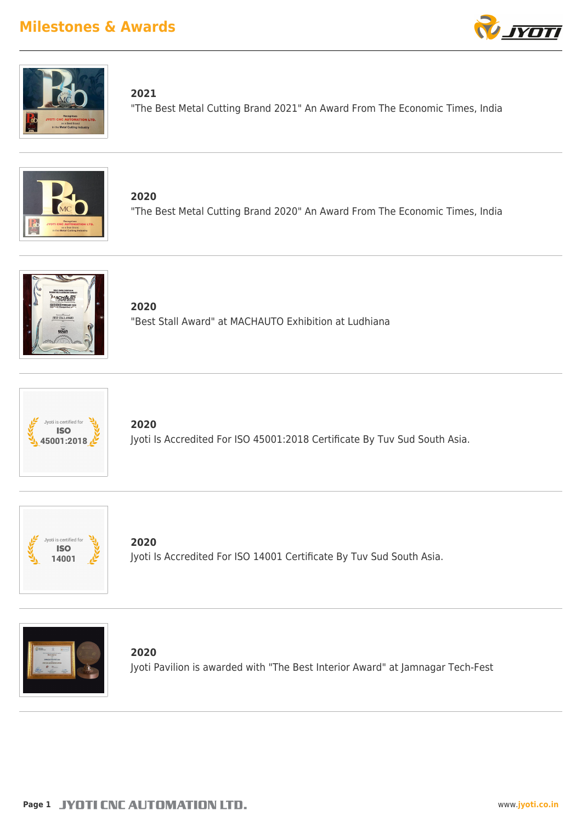



**2021**

"The Best Metal Cutting Brand 2021" An Award From The Economic Times, India



**2020** "The Best Metal Cutting Brand 2020" An Award From The Economic Times, India



**2020** "Best Stall Award" at MACHAUTO Exhibition at Ludhiana



**2020** Jyoti Is Accredited For ISO 45001:2018 Certificate By Tuv Sud South Asia.



**2020** Jyoti Is Accredited For ISO 14001 Certificate By Tuv Sud South Asia.



**2020** Jyoti Pavilion is awarded with "The Best Interior Award" at Jamnagar Tech-Fest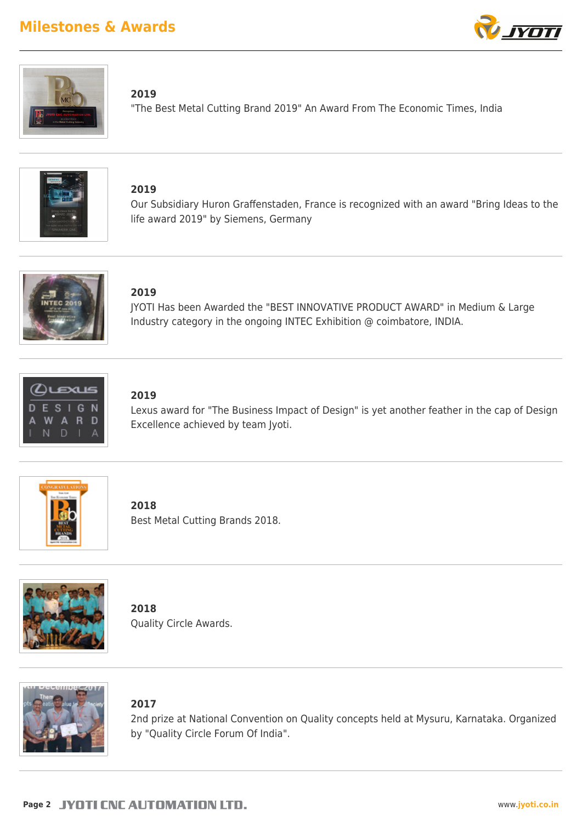



### **2019**

"The Best Metal Cutting Brand 2019" An Award From The Economic Times, India



### **2019**

Our Subsidiary Huron Graffenstaden, France is recognized with an award "Bring Ideas to the life award 2019" by Siemens, Germany



### **2019**

JYOTI Has been Awarded the "BEST INNOVATIVE PRODUCT AWARD" in Medium & Large Industry category in the ongoing INTEC Exhibition @ coimbatore, INDIA.



## **2019**

Lexus award for "The Business Impact of Design" is yet another feather in the cap of Design Excellence achieved by team Jyoti.



**2018** Best Metal Cutting Brands 2018.



**2018** Quality Circle Awards.



### **2017**

2nd prize at National Convention on Quality concepts held at Mysuru, Karnataka. Organized by "Quality Circle Forum Of India".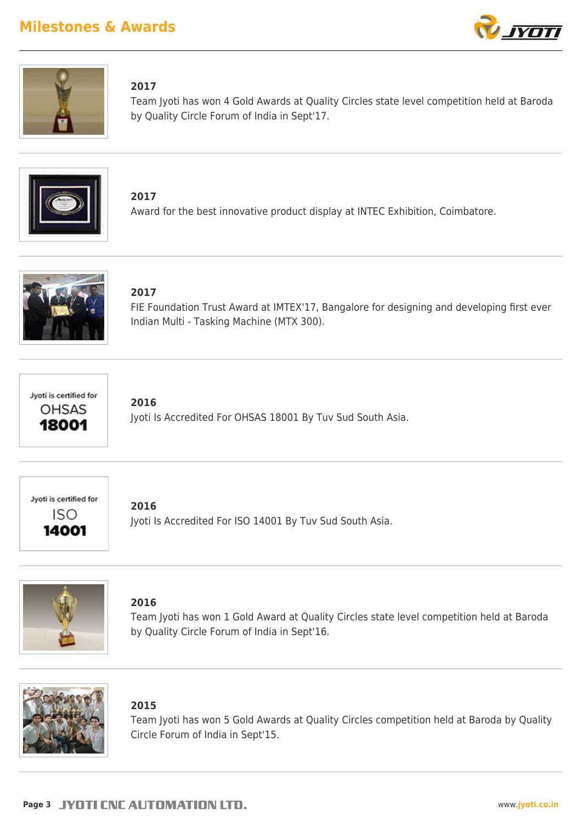



### **2017**

Team Jyoti has won 4 Gold Awards at Quality Circles state level competition held at Baroda by Quality Circle Forum of India in Sept'17.



**2017** Award for the best innovative product display at INTEC Exhibition, Coimbatore.



### **2017**

FIE Foundation Trust Award at IMTEX'17, Bangalore for designing and developing first ever Indian Multi - Tasking Machine (MTX 300).



### **2016**

Jyoti Is Accredited For OHSAS 18001 By Tuv Sud South Asia.



### **2016**

Jyoti Is Accredited For ISO 14001 By Tuv Sud South Asia.



### **2016**

Team Jyoti has won 1 Gold Award at Quality Circles state level competition held at Baroda by Quality Circle Forum of India in Sept'16.



### **2015**

Team Jyoti has won 5 Gold Awards at Quality Circles competition held at Baroda by Quality Circle Forum of India in Sept'15.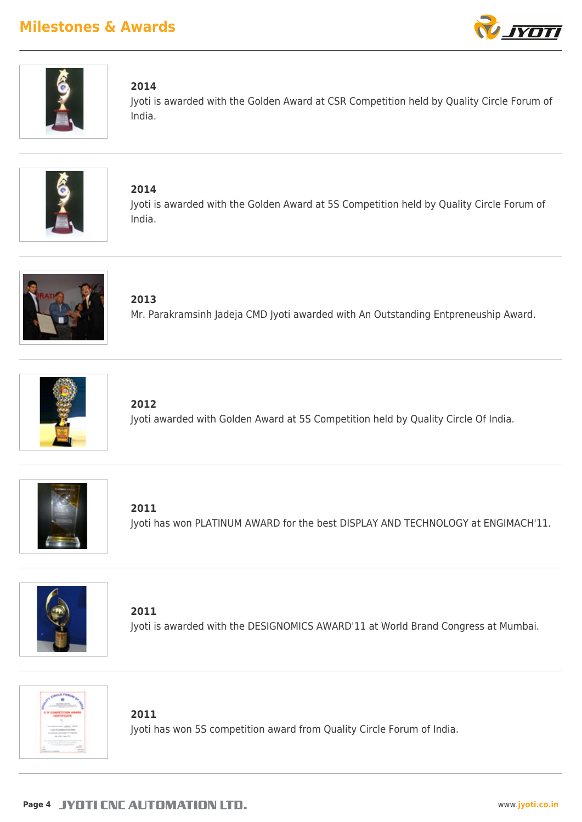



### **2014**

Jyoti is awarded with the Golden Award at CSR Competition held by Quality Circle Forum of India.



**2014** Jyoti is awarded with the Golden Award at 5S Competition held by Quality Circle Forum of India.



**2013** Mr. Parakramsinh Jadeja CMD Jyoti awarded with An Outstanding Entpreneuship Award.



**2012** Jyoti awarded with Golden Award at 5S Competition held by Quality Circle Of India.



**2011** Jyoti has won PLATINUM AWARD for the best DISPLAY AND TECHNOLOGY at ENGIMACH'11.



**2011** Jyoti is awarded with the DESIGNOMICS AWARD'11 at World Brand Congress at Mumbai.



**2011**

Jyoti has won 5S competition award from Quality Circle Forum of India.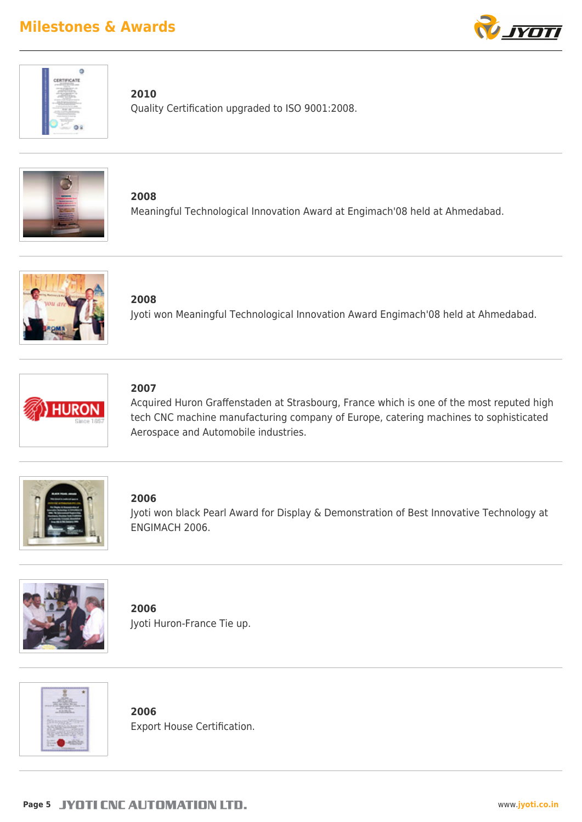



### **2010**

Quality Certification upgraded to ISO 9001:2008.



**2008** Meaningful Technological Innovation Award at Engimach'08 held at Ahmedabad.



**2008** Jyoti won Meaningful Technological Innovation Award Engimach'08 held at Ahmedabad.



## **2007**

Acquired Huron Graffenstaden at Strasbourg, France which is one of the most reputed high tech CNC machine manufacturing company of Europe, catering machines to sophisticated Aerospace and Automobile industries.



### **2006**

Jyoti won black Pearl Award for Display & Demonstration of Best Innovative Technology at ENGIMACH 2006.



**2006** Jyoti Huron-France Tie up.



**2006** Export House Certification.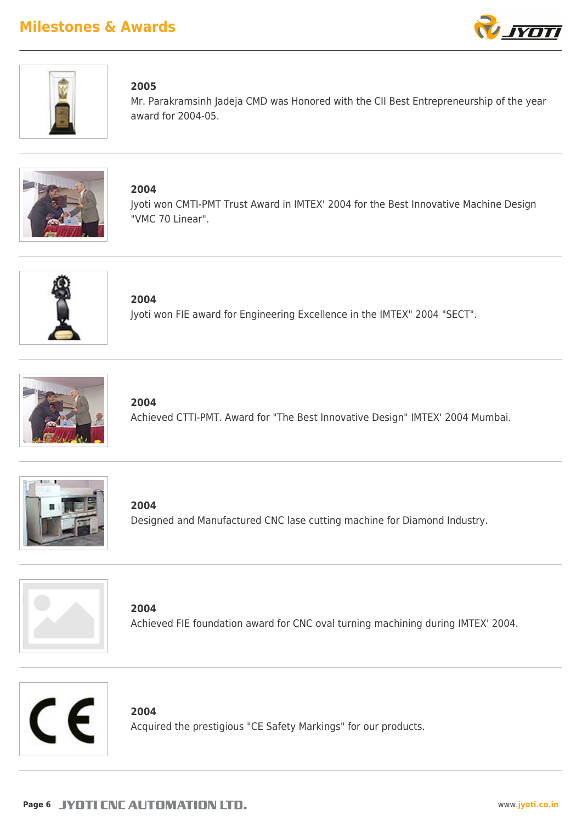



### **2005**

Mr. Parakramsinh Jadeja CMD was Honored with the CII Best Entrepreneurship of the year award for 2004-05.



**2004**

Jyoti won CMTI-PMT Trust Award in IMTEX' 2004 for the Best Innovative Machine Design "VMC 70 Linear".



**2004** Jyoti won FIE award for Engineering Excellence in the IMTEX" 2004 "SECT".



**2004** Achieved CTTI-PMT. Award for "The Best Innovative Design" IMTEX' 2004 Mumbai.



**2004** Designed and Manufactured CNC lase cutting machine for Diamond Industry.



**2004** Achieved FIE foundation award for CNC oval turning machining during IMTEX' 2004.



**2004**

Acquired the prestigious "CE Safety Markings" for our products.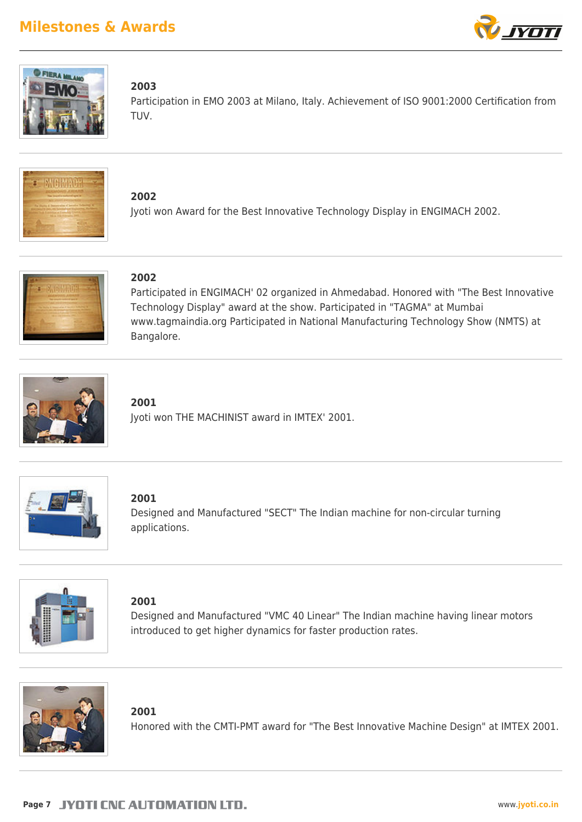



### **2003**

Participation in EMO 2003 at Milano, Italy. Achievement of ISO 9001:2000 Certification from TUV.



**2002** Jyoti won Award for the Best Innovative Technology Display in ENGIMACH 2002.



### **2002**

Participated in ENGIMACH' 02 organized in Ahmedabad. Honored with "The Best Innovative Technology Display" award at the show. Participated in "TAGMA" at Mumbai www.tagmaindia.org Participated in National Manufacturing Technology Show (NMTS) at Bangalore.



### **2001**

Jyoti won THE MACHINIST award in IMTEX' 2001.



### **2001**

Designed and Manufactured "SECT" The Indian machine for non-circular turning applications.



### **2001**

Designed and Manufactured "VMC 40 Linear" The Indian machine having linear motors introduced to get higher dynamics for faster production rates.



### **2001**

Honored with the CMTI-PMT award for "The Best Innovative Machine Design" at IMTEX 2001.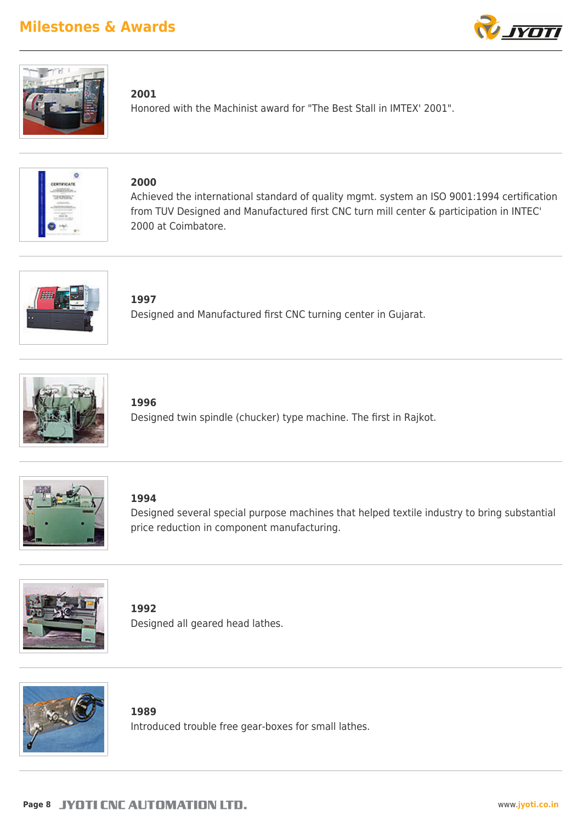



### **2001**

Honored with the Machinist award for "The Best Stall in IMTEX' 2001".



### **2000**

Achieved the international standard of quality mgmt. system an ISO 9001:1994 certification from TUV Designed and Manufactured first CNC turn mill center & participation in INTEC' 2000 at Coimbatore.



**1997**

Designed and Manufactured first CNC turning center in Gujarat.



**1996**

Designed twin spindle (chucker) type machine. The first in Rajkot.



**1994**

Designed several special purpose machines that helped textile industry to bring substantial price reduction in component manufacturing.



**1992** Designed all geared head lathes.



**1989** Introduced trouble free gear-boxes for small lathes.